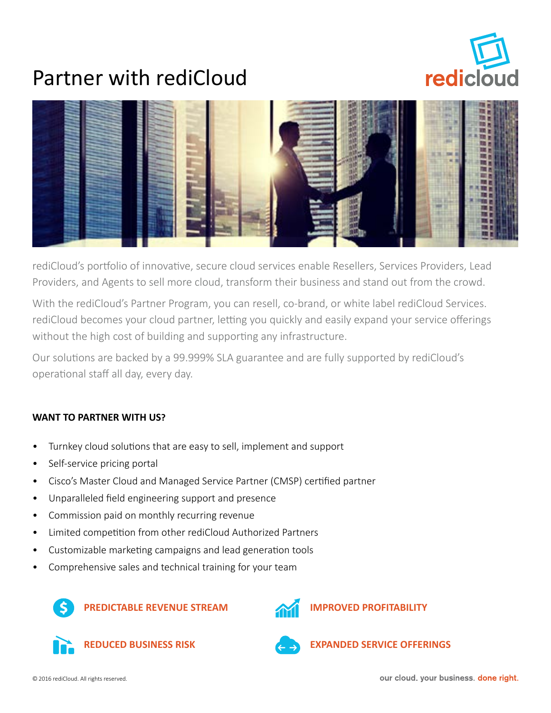

## Partner with rediCloud



rediCloud's portfolio of innovative, secure cloud services enable Resellers, Services Providers, Lead Providers, and Agents to sell more cloud, transform their business and stand out from the crowd.

With the rediCloud's Partner Program, you can resell, co-brand, or white label rediCloud Services. rediCloud becomes your cloud partner, letting you quickly and easily expand your service offerings without the high cost of building and supporting any infrastructure.

Our solutions are backed by a 99.999% SLA guarantee and are fully supported by rediCloud's operational staff all day, every day.

### **WANT TO PARTNER WITH US?**

- Turnkey cloud solutions that are easy to sell, implement and support
- Self-service pricing portal
- Cisco's Master Cloud and Managed Service Partner (CMSP) certified partner
- Unparalleled field engineering support and presence
- Commission paid on monthly recurring revenue
- Limited competition from other rediCloud Authorized Partners
- Customizable marketing campaigns and lead generation tools
- Comprehensive sales and technical training for your team









**REDUCED BUSINESS RISK EXPANDED SERVICE OFFERINGS**